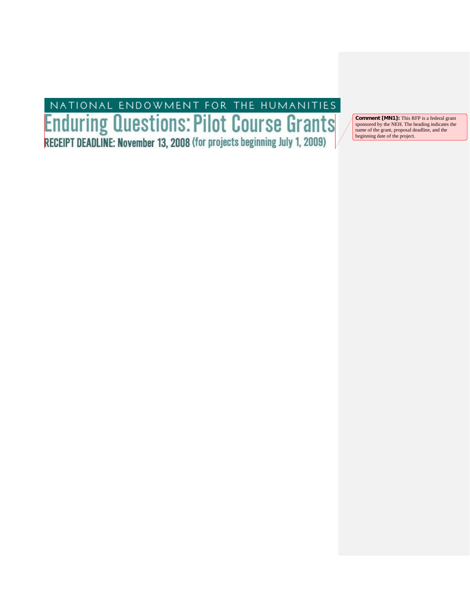# NATIONAL ENDOWMENT FOR THE HUMANITIES<br> **Enduring Questions: Pilot Course Grants**<br>
RECEIPT DEADLINE: November 13, 2008 (for projects beginning July 1, 2009)

**Comment [MN1]:** This RFP is a federal grant sponsored by the NEH. The heading indicates the name of the grant, proposal deadline, and the beginning date of the project.